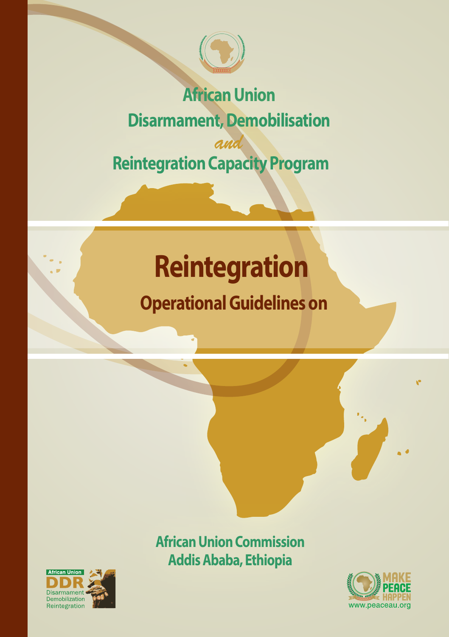

# **African Union Disarmament, Demobilisation**

**Reintegration Capacity Program** *and*

# **Reintegration**

## **Operational Guidelines on**

**African Union Commission Addis Ababa, Ethiopia**



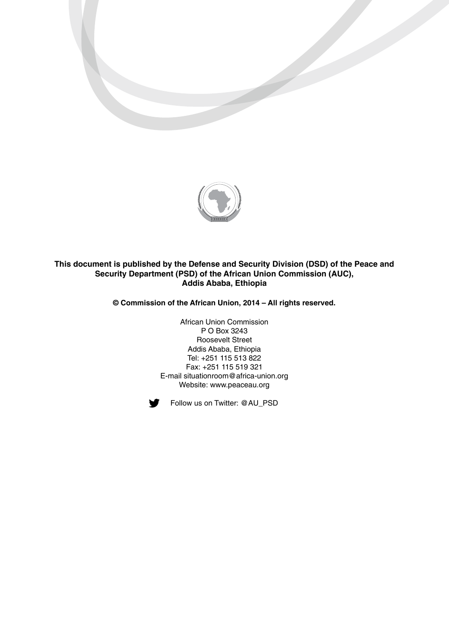



#### **This document is published by the Defense and Security Division (DSD) of the Peace and Security Department (PSD) of the African Union Commission (AUC), Addis Ababa, Ethiopia**

**© Commission of the African Union, 2014 – All rights reserved.**

African Union Commission P O Box 3243 Roosevelt Street Addis Ababa, Ethiopia Tel: +251 115 513 822 Fax: +251 115 519 321 E-mail situationroom@africa-union.org Website: www.peaceau.org



Follow us on Twitter: @AU\_PSD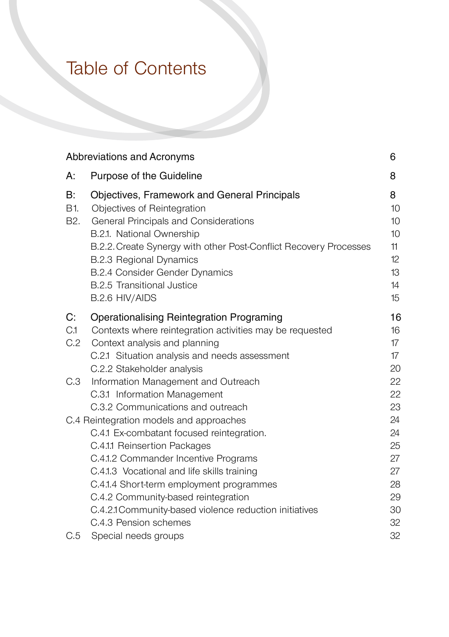## Table of Contents

|                               | Abbreviations and Acronyms                                                                                                                                                                                                                                                                                                                                                                                             | 6                                                        |
|-------------------------------|------------------------------------------------------------------------------------------------------------------------------------------------------------------------------------------------------------------------------------------------------------------------------------------------------------------------------------------------------------------------------------------------------------------------|----------------------------------------------------------|
| А:                            | Purpose of the Guideline                                                                                                                                                                                                                                                                                                                                                                                               | 8                                                        |
| B:<br>B1.<br>B <sub>2</sub> . | Objectives, Framework and General Principals<br>Objectives of Reintegration<br>General Principals and Considerations<br>B.2.1. National Ownership<br>B.2.2. Create Synergy with other Post-Conflict Recovery Processes<br><b>B.2.3 Regional Dynamics</b><br><b>B.2.4 Consider Gender Dynamics</b><br><b>B.2.5 Transitional Justice</b><br>B.2.6 HIV/AIDS                                                               | 8<br>10<br>10<br>10<br>11<br>12<br>13<br>14<br>15        |
| C:<br>C.1<br>C.2<br>C.3       | Operationalising Reintegration Programing<br>Contexts where reintegration activities may be requested<br>Context analysis and planning<br>C.2.1 Situation analysis and needs assessment<br>C.2.2 Stakeholder analysis<br>Information Management and Outreach<br>C.3.1 Information Management                                                                                                                           | 16<br>16<br>17<br>17<br>20<br>22<br>22                   |
|                               | C.3.2 Communications and outreach<br>C.4 Reintegration models and approaches<br>C.4.1 Ex-combatant focused reintegration.<br>C.4.1.1 Reinsertion Packages<br>C.4.1.2 Commander Incentive Programs<br>C.4.1.3 Vocational and life skills training<br>C.4.1.4 Short-term employment programmes<br>C.4.2 Community-based reintegration<br>C.4.2.1 Community-based violence reduction initiatives<br>C.4.3 Pension schemes | 23<br>24<br>24<br>25<br>27<br>27<br>28<br>29<br>30<br>32 |
| C.5                           | Special needs groups                                                                                                                                                                                                                                                                                                                                                                                                   | 32                                                       |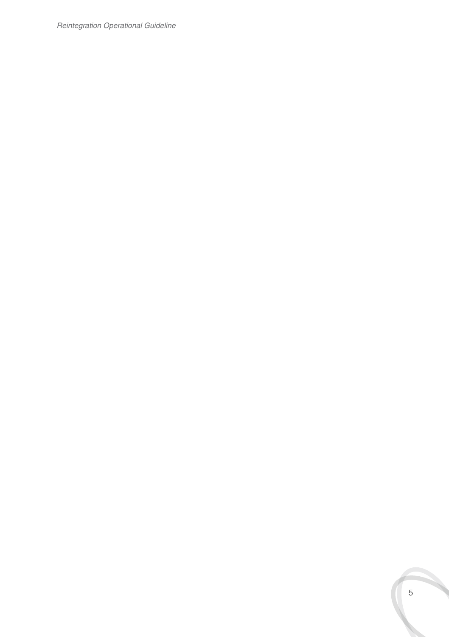*Reintegration Operational Guideline*

 $\Rightarrow$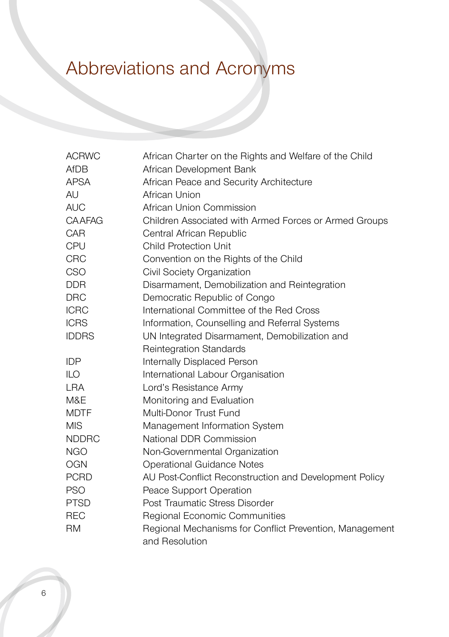## Abbreviations and Acronyms

| <b>ACRWC</b>  | African Charter on the Rights and Welfare of the Child  |
|---------------|---------------------------------------------------------|
| <b>AfDB</b>   | African Development Bank                                |
| <b>APSA</b>   | African Peace and Security Architecture                 |
| AU            | African Union                                           |
| <b>AUC</b>    | African Union Commission                                |
| <b>CAAFAG</b> | Children Associated with Armed Forces or Armed Groups   |
| CAR           | Central African Republic                                |
| <b>CPU</b>    | <b>Child Protection Unit</b>                            |
| CRC           | Convention on the Rights of the Child                   |
| <b>CSO</b>    | Civil Society Organization                              |
| <b>DDR</b>    | Disarmament, Demobilization and Reintegration           |
| <b>DRC</b>    | Democratic Republic of Congo                            |
| <b>ICRC</b>   | International Committee of the Red Cross                |
| <b>ICRS</b>   | Information, Counselling and Referral Systems           |
| <b>IDDRS</b>  | UN Integrated Disarmament, Demobilization and           |
|               | Reintegration Standards                                 |
| <b>IDP</b>    | Internally Displaced Person                             |
| <b>ILO</b>    | International Labour Organisation                       |
| <b>LRA</b>    | Lord's Resistance Army                                  |
| M&E           | Monitoring and Evaluation                               |
| <b>MDTF</b>   | Multi-Donor Trust Fund                                  |
| <b>MIS</b>    | Management Information System                           |
| <b>NDDRC</b>  | National DDR Commission                                 |
| <b>NGO</b>    | Non-Governmental Organization                           |
| <b>OGN</b>    | <b>Operational Guidance Notes</b>                       |
| <b>PCRD</b>   | AU Post-Conflict Reconstruction and Development Policy  |
| <b>PSO</b>    | Peace Support Operation                                 |
| <b>PTSD</b>   | Post Traumatic Stress Disorder                          |
| REC           | <b>Regional Economic Communities</b>                    |
| <b>RM</b>     | Regional Mechanisms for Conflict Prevention, Management |
|               | and Resolution                                          |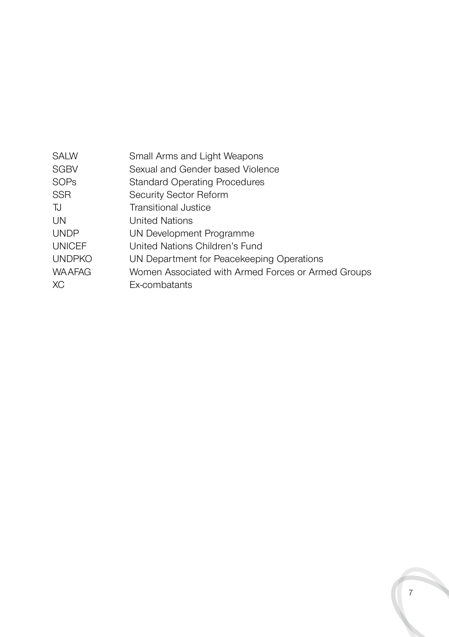| <b>SALW</b>   | Small Arms and Light Weapons                       |
|---------------|----------------------------------------------------|
| <b>SGBV</b>   | Sexual and Gender based Violence                   |
| <b>SOPs</b>   | <b>Standard Operating Procedures</b>               |
| <b>SSR</b>    | Security Sector Reform                             |
| TJ            | Transitional Justice                               |
| UN            | United Nations                                     |
| <b>UNDP</b>   | UN Development Programme                           |
| <b>UNICEF</b> | United Nations Children's Fund                     |
| <b>UNDPKO</b> | UN Department for Peacekeeping Operations          |
| <b>WAAFAG</b> | Women Associated with Armed Forces or Armed Groups |
| XC            | Ex-combatants                                      |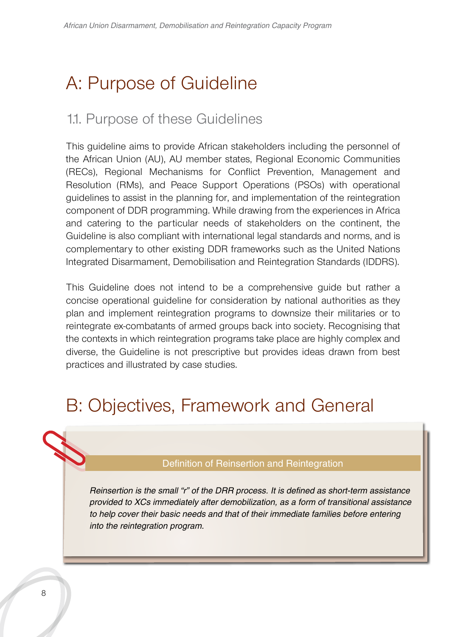## A: Purpose of Guideline

### 1.1. Purpose of these Guidelines

This guideline aims to provide African stakeholders including the personnel of the African Union (AU), AU member states, Regional Economic Communities (RECs), Regional Mechanisms for Conflict Prevention, Management and Resolution (RMs), and Peace Support Operations (PSOs) with operational guidelines to assist in the planning for, and implementation of the reintegration component of DDR programming. While drawing from the experiences in Africa and catering to the particular needs of stakeholders on the continent, the Guideline is also compliant with international legal standards and norms, and is complementary to other existing DDR frameworks such as the United Nations Integrated Disarmament, Demobilisation and Reintegration Standards (IDDRS).

This Guideline does not intend to be a comprehensive guide but rather a concise operational guideline for consideration by national authorities as they plan and implement reintegration programs to downsize their militaries or to reintegrate ex-combatants of armed groups back into society. Recognising that the contexts in which reintegration programs take place are highly complex and diverse, the Guideline is not prescriptive but provides ideas drawn from best practices and illustrated by case studies.

## B: Objectives, Framework and General

#### Definition of Reinsertion and Reintegration

*Reinsertion is the small "r" of the DRR process. It is defined as short-term assistance provided to XCs immediately after demobilization, as a form of transitional assistance to help cover their basic needs and that of their immediate families before entering into the reintegration program.*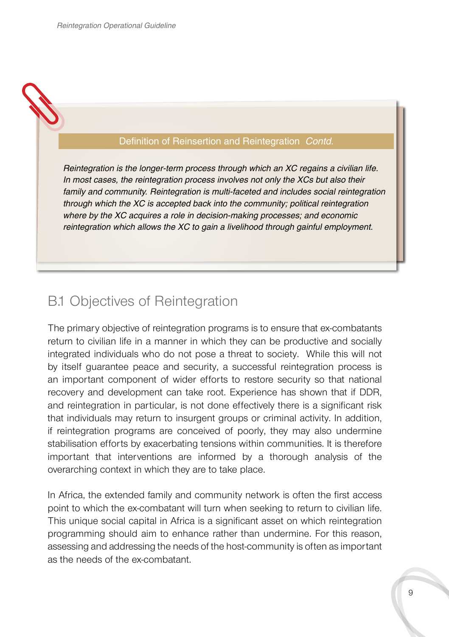#### Definition of Reinsertion and Reintegration *Contd.*

*Reintegration is the longer-term process through which an XC regains a civilian life. In most cases, the reintegration process involves not only the XCs but also their family and community. Reintegration is multi-faceted and includes social reintegration through which the XC is accepted back into the community; political reintegration where by the XC acquires a role in decision-making processes; and economic reintegration which allows the XC to gain a livelihood through gainful employment.* 

### B.1 Objectives of Reintegration

The primary objective of reintegration programs is to ensure that ex-combatants return to civilian life in a manner in which they can be productive and socially integrated individuals who do not pose a threat to society. While this will not by itself guarantee peace and security, a successful reintegration process is an important component of wider efforts to restore security so that national recovery and development can take root. Experience has shown that if DDR, and reintegration in particular, is not done effectively there is a significant risk that individuals may return to insurgent groups or criminal activity. In addition, if reintegration programs are conceived of poorly, they may also undermine stabilisation efforts by exacerbating tensions within communities. It is therefore important that interventions are informed by a thorough analysis of the overarching context in which they are to take place.

In Africa, the extended family and community network is often the first access point to which the ex-combatant will turn when seeking to return to civilian life. This unique social capital in Africa is a significant asset on which reintegration programming should aim to enhance rather than undermine. For this reason, assessing and addressing the needs of the host-community is often as important as the needs of the ex-combatant.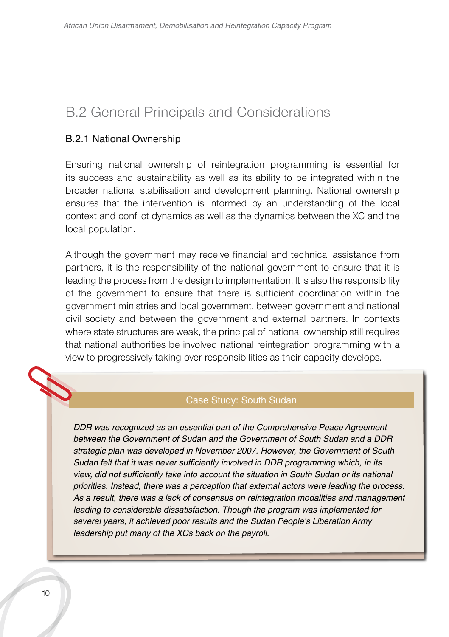### B.2 General Principals and Considerations

#### B.2.1 National Ownership

Ensuring national ownership of reintegration programming is essential for its success and sustainability as well as its ability to be integrated within the broader national stabilisation and development planning. National ownership ensures that the intervention is informed by an understanding of the local context and conflict dynamics as well as the dynamics between the XC and the local population.

Although the government may receive financial and technical assistance from partners, it is the responsibility of the national government to ensure that it is leading the process from the design to implementation. It is also the responsibility of the government to ensure that there is sufficient coordination within the government ministries and local government, between government and national civil society and between the government and external partners. In contexts where state structures are weak, the principal of national ownership still requires that national authorities be involved national reintegration programming with a view to progressively taking over responsibilities as their capacity develops.

#### Case Study: South Sudan

*DDR was recognized as an essential part of the Comprehensive Peace Agreement between the Government of Sudan and the Government of South Sudan and a DDR strategic plan was developed in November 2007. However, the Government of South Sudan felt that it was never sufficiently involved in DDR programming which, in its view, did not sufficiently take into account the situation in South Sudan or its national priorities. Instead, there was a perception that external actors were leading the process. As a result, there was a lack of consensus on reintegration modalities and management leading to considerable dissatisfaction. Though the program was implemented for several years, it achieved poor results and the Sudan People's Liberation Army leadership put many of the XCs back on the payroll.*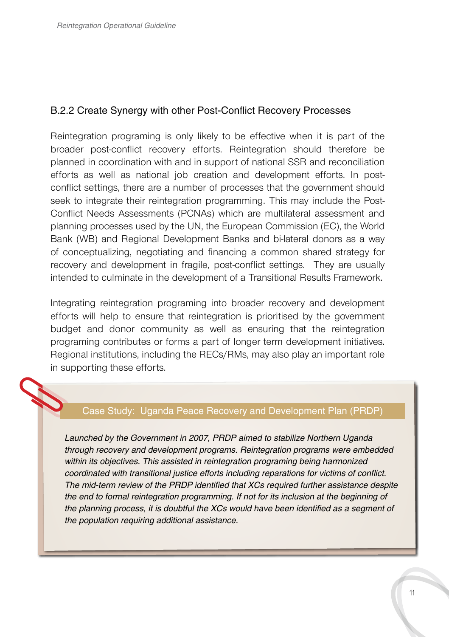#### B.2.2 Create Synergy with other Post-Conflict Recovery Processes

Reintegration programing is only likely to be effective when it is part of the broader post-conflict recovery efforts. Reintegration should therefore be planned in coordination with and in support of national SSR and reconciliation efforts as well as national job creation and development efforts. In postconflict settings, there are a number of processes that the government should seek to integrate their reintegration programming. This may include the Post-Conflict Needs Assessments (PCNAs) which are multilateral assessment and planning processes used by the UN, the European Commission (EC), the World Bank (WB) and Regional Development Banks and bi-lateral donors as a way of conceptualizing, negotiating and financing a common shared strategy for recovery and development in fragile, post-conflict settings. They are usually intended to culminate in the development of a Transitional Results Framework.

Integrating reintegration programing into broader recovery and development efforts will help to ensure that reintegration is prioritised by the government budget and donor community as well as ensuring that the reintegration programing contributes or forms a part of longer term development initiatives. Regional institutions, including the RECs/RMs, may also play an important role in supporting these efforts.

#### Case Study: Uganda Peace Recovery and Development Plan (PRDP)

*Launched by the Government in 2007, PRDP aimed to stabilize Northern Uganda through recovery and development programs. Reintegration programs were embedded within its objectives. This assisted in reintegration programing being harmonized coordinated with transitional justice efforts including reparations for victims of conflict. The mid-term review of the PRDP identified that XCs required further assistance despite the end to formal reintegration programming. If not for its inclusion at the beginning of the planning process, it is doubtful the XCs would have been identified as a segment of the population requiring additional assistance.*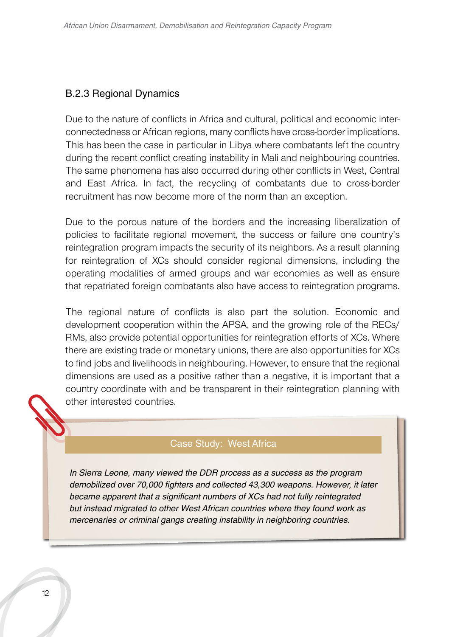#### B.2.3 Regional Dynamics

Due to the nature of conflicts in Africa and cultural, political and economic interconnectedness or African regions, many conflicts have cross-border implications. This has been the case in particular in Libya where combatants left the country during the recent conflict creating instability in Mali and neighbouring countries. The same phenomena has also occurred during other conflicts in West, Central and East Africa. In fact, the recycling of combatants due to cross-border recruitment has now become more of the norm than an exception.

Due to the porous nature of the borders and the increasing liberalization of policies to facilitate regional movement, the success or failure one country's reintegration program impacts the security of its neighbors. As a result planning for reintegration of XCs should consider regional dimensions, including the operating modalities of armed groups and war economies as well as ensure that repatriated foreign combatants also have access to reintegration programs.

The regional nature of conflicts is also part the solution. Economic and development cooperation within the APSA, and the growing role of the RECs/ RMs, also provide potential opportunities for reintegration efforts of XCs. Where there are existing trade or monetary unions, there are also opportunities for XCs to find jobs and livelihoods in neighbouring. However, to ensure that the regional dimensions are used as a positive rather than a negative, it is important that a country coordinate with and be transparent in their reintegration planning with other interested countries.

#### Case Study: West Africa

*In Sierra Leone, many viewed the DDR process as a success as the program demobilized over 70,000 fighters and collected 43,300 weapons. However, it later became apparent that a significant numbers of XCs had not fully reintegrated but instead migrated to other West African countries where they found work as mercenaries or criminal gangs creating instability in neighboring countries.*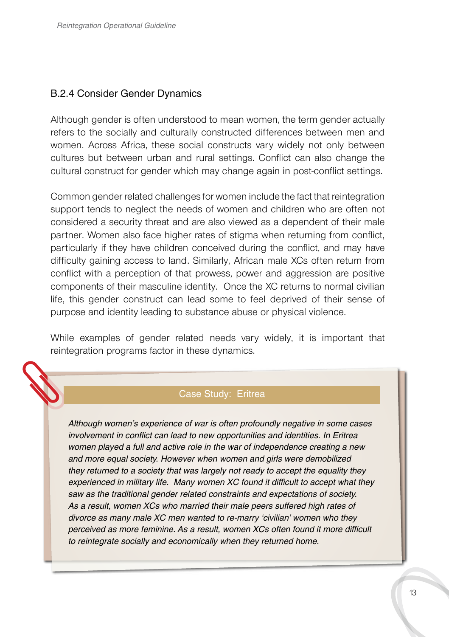#### B.2.4 Consider Gender Dynamics

Although gender is often understood to mean women, the term gender actually refers to the socially and culturally constructed differences between men and women. Across Africa, these social constructs vary widely not only between cultures but between urban and rural settings. Conflict can also change the cultural construct for gender which may change again in post-conflict settings.

Common gender related challenges for women include the fact that reintegration support tends to neglect the needs of women and children who are often not considered a security threat and are also viewed as a dependent of their male partner. Women also face higher rates of stigma when returning from conflict, particularly if they have children conceived during the conflict, and may have difficulty gaining access to land. Similarly, African male XCs often return from conflict with a perception of that prowess, power and aggression are positive components of their masculine identity. Once the XC returns to normal civilian life, this gender construct can lead some to feel deprived of their sense of purpose and identity leading to substance abuse or physical violence.

While examples of gender related needs vary widely, it is important that reintegration programs factor in these dynamics.

#### Case Study: Eritrea

*Although women's experience of war is often profoundly negative in some cases involvement in conflict can lead to new opportunities and identities. In Eritrea women played a full and active role in the war of independence creating a new and more equal society. However when women and girls were demobilized they returned to a society that was largely not ready to accept the equality they experienced in military life. Many women XC found it difficult to accept what they saw as the traditional gender related constraints and expectations of society. As a result, women XCs who married their male peers suffered high rates of divorce as many male XC men wanted to re-marry 'civilian' women who they perceived as more feminine. As a result, women XCs often found it more difficult to reintegrate socially and economically when they returned home.*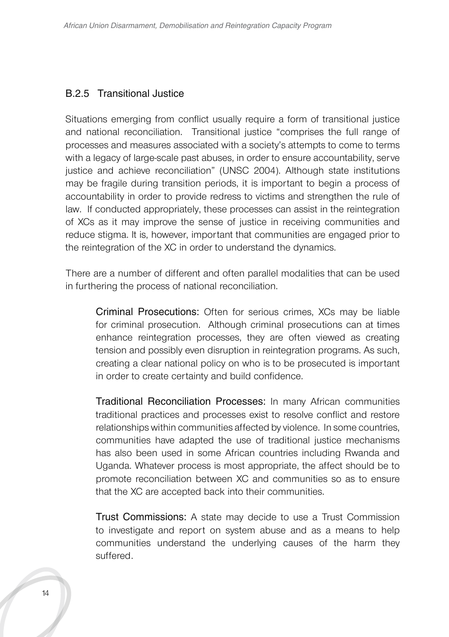#### B.2.5 Transitional Justice

Situations emerging from conflict usually require a form of transitional justice and national reconciliation. Transitional justice "comprises the full range of processes and measures associated with a society's attempts to come to terms with a legacy of large-scale past abuses, in order to ensure accountability, serve justice and achieve reconciliation" (UNSC 2004). Although state institutions may be fragile during transition periods, it is important to begin a process of accountability in order to provide redress to victims and strengthen the rule of law. If conducted appropriately, these processes can assist in the reintegration of XCs as it may improve the sense of justice in receiving communities and reduce stigma. It is, however, important that communities are engaged prior to the reintegration of the XC in order to understand the dynamics.

There are a number of different and often parallel modalities that can be used in furthering the process of national reconciliation.

Criminal Prosecutions: Often for serious crimes, XCs may be liable for criminal prosecution. Although criminal prosecutions can at times enhance reintegration processes, they are often viewed as creating tension and possibly even disruption in reintegration programs. As such, creating a clear national policy on who is to be prosecuted is important in order to create certainty and build confidence.

Traditional Reconciliation Processes: In many African communities traditional practices and processes exist to resolve conflict and restore relationships within communities affected by violence. In some countries, communities have adapted the use of traditional justice mechanisms has also been used in some African countries including Rwanda and Uganda. Whatever process is most appropriate, the affect should be to promote reconciliation between XC and communities so as to ensure that the XC are accepted back into their communities.

Trust Commissions: A state may decide to use a Trust Commission to investigate and report on system abuse and as a means to help communities understand the underlying causes of the harm they suffered.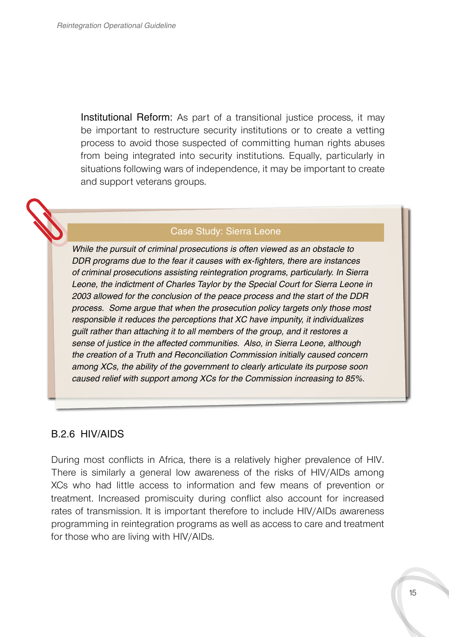Institutional Reform: As part of a transitional justice process, it may be important to restructure security institutions or to create a vetting process to avoid those suspected of committing human rights abuses from being integrated into security institutions. Equally, particularly in situations following wars of independence, it may be important to create and support veterans groups.

#### Case Study: Sierra Leone

*While the pursuit of criminal prosecutions is often viewed as an obstacle to DDR programs due to the fear it causes with ex-fighters, there are instances of criminal prosecutions assisting reintegration programs, particularly. In Sierra Leone, the indictment of Charles Taylor by the Special Court for Sierra Leone in 2003 allowed for the conclusion of the peace process and the start of the DDR process. Some argue that when the prosecution policy targets only those most responsible it reduces the perceptions that XC have impunity, it individualizes guilt rather than attaching it to all members of the group, and it restores a sense of justice in the affected communities. Also, in Sierra Leone, although the creation of a Truth and Reconciliation Commission initially caused concern among XCs, the ability of the government to clearly articulate its purpose soon caused relief with support among XCs for the Commission increasing to 85%.*

#### B.2.6 HIV/AIDS

During most conflicts in Africa, there is a relatively higher prevalence of HIV. There is similarly a general low awareness of the risks of HIV/AIDs among XCs who had little access to information and few means of prevention or treatment. Increased promiscuity during conflict also account for increased rates of transmission. It is important therefore to include HIV/AIDs awareness programming in reintegration programs as well as access to care and treatment for those who are living with HIV/AIDs.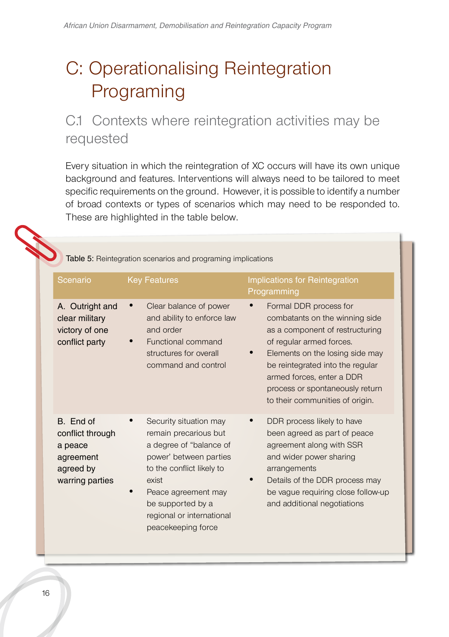## C: Operationalising Reintegration Programing

## C.1 Contexts where reintegration activities may be requested

Every situation in which the reintegration of XC occurs will have its own unique background and features. Interventions will always need to be tailored to meet specific requirements on the ground. However, it is possible to identify a number of broad contexts or types of scenarios which may need to be responded to. These are highlighted in the table below.

Table 5: Reintegration scenarios and programing implications

| Scenario                                                                              | <b>Key Features</b>                                                                                                                                                                                                                       | Implications for Reintegration<br>Programming                                                                                                                                                                                                                                                     |
|---------------------------------------------------------------------------------------|-------------------------------------------------------------------------------------------------------------------------------------------------------------------------------------------------------------------------------------------|---------------------------------------------------------------------------------------------------------------------------------------------------------------------------------------------------------------------------------------------------------------------------------------------------|
| A. Outright and<br>clear military<br>victory of one<br>conflict party                 | Clear balance of power<br>and ability to enforce law<br>and order<br>Functional command<br>structures for overall<br>command and control                                                                                                  | Formal DDR process for<br>combatants on the winning side<br>as a component of restructuring<br>of regular armed forces.<br>Elements on the losing side may<br>be reintegrated into the regular<br>armed forces, enter a DDR<br>process or spontaneously return<br>to their communities of origin. |
| B. End of<br>conflict through<br>a peace<br>agreement<br>agreed by<br>warring parties | Security situation may<br>remain precarious but<br>a degree of "balance of<br>power' between parties<br>to the conflict likely to<br>exist<br>Peace agreement may<br>be supported by a<br>regional or international<br>peacekeeping force | DDR process likely to have<br>been agreed as part of peace<br>agreement along with SSR<br>and wider power sharing<br>arrangements<br>Details of the DDR process may<br>be vague requiring close follow-up<br>and additional negotiations                                                          |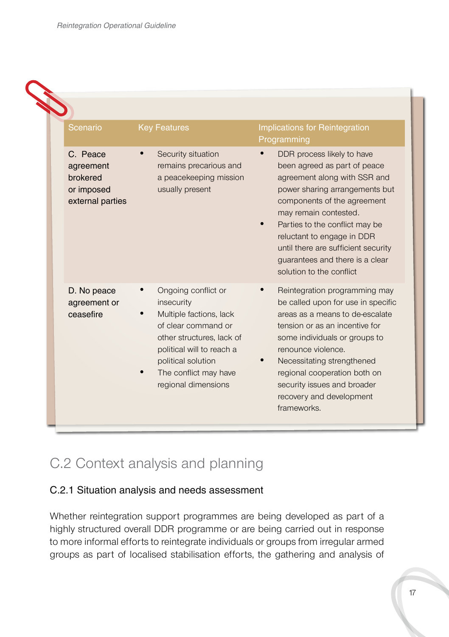| Scenario                                                            | <b>Key Features</b>                                                                                                                                                                                                 | Implications for Reintegration<br>Programming                                                                                                                                                                                                                                                                                                              |
|---------------------------------------------------------------------|---------------------------------------------------------------------------------------------------------------------------------------------------------------------------------------------------------------------|------------------------------------------------------------------------------------------------------------------------------------------------------------------------------------------------------------------------------------------------------------------------------------------------------------------------------------------------------------|
| C. Peace<br>agreement<br>brokered<br>or imposed<br>external parties | Security situation<br>remains precarious and<br>a peacekeeping mission<br>usually present                                                                                                                           | DDR process likely to have<br>been agreed as part of peace<br>agreement along with SSR and<br>power sharing arrangements but<br>components of the agreement<br>may remain contested.<br>Parties to the conflict may be<br>reluctant to engage in DDR<br>until there are sufficient security<br>quarantees and there is a clear<br>solution to the conflict |
| D. No peace<br>agreement or<br>ceasefire                            | Ongoing conflict or<br>insecurity<br>Multiple factions, lack<br>of clear command or<br>other structures, lack of<br>political will to reach a<br>political solution<br>The conflict may have<br>regional dimensions | Reintegration programming may<br>be called upon for use in specific<br>areas as a means to de-escalate<br>tension or as an incentive for<br>some individuals or groups to<br>renounce violence.<br>Necessitating strengthened<br>regional cooperation both on<br>security issues and broader<br>recovery and development<br>frameworks.                    |

## C.2 Context analysis and planning

#### C.2.1 Situation analysis and needs assessment

Whether reintegration support programmes are being developed as part of a highly structured overall DDR programme or are being carried out in response to more informal efforts to reintegrate individuals or groups from irregular armed groups as part of localised stabilisation efforts, the gathering and analysis of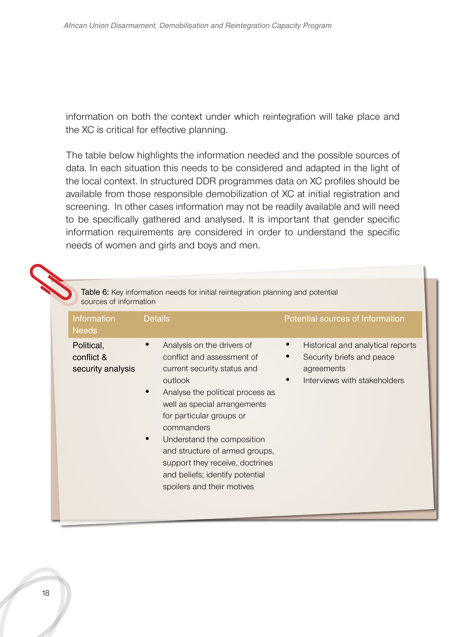information on both the context under which reintegration will take place and the XC is critical for effective planning.

The table below highlights the information needed and the possible sources of data. In each situation this needs to be considered and adapted in the light of the local context. In structured DDR programmes data on XC profiles should be available from those responsible demobilization of XC at initial registration and screening. In other cases information may not be readily available and will need to be specifically gathered and analysed. It is important that gender specific information requirements are considered in order to understand the specific needs of women and girls and boys and men.



Table 6: Key information needs for initial reintegration planning and potential sources of information

| <b>Information</b><br><b>Needs</b>            | <b>Details</b>                                                                                                                                                                                                                                                                                                                                                                                    | Potential sources of Information                                                                                               |
|-----------------------------------------------|---------------------------------------------------------------------------------------------------------------------------------------------------------------------------------------------------------------------------------------------------------------------------------------------------------------------------------------------------------------------------------------------------|--------------------------------------------------------------------------------------------------------------------------------|
| Political,<br>conflict &<br>security analysis | Analysis on the drivers of<br>$\bullet$<br>conflict and assessment of<br>current security status and<br>outlook<br>Analyse the political process as<br>well as special arrangements<br>for particular groups or<br>commanders<br>Understand the composition<br>and structure of armed groups,<br>support they receive, doctrines<br>and beliefs; identify potential<br>spoilers and their motives | Historical and analytical reports<br>Security briefs and peace<br>٠<br>agreements<br>Interviews with stakeholders<br>$\bullet$ |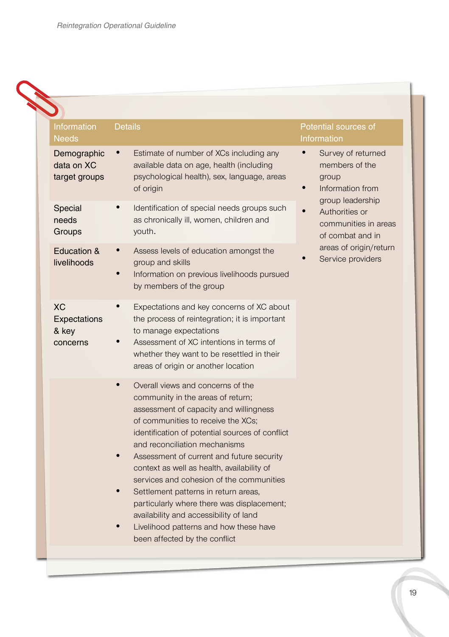| <b>Information</b><br><b>Needs</b>         | <b>Details</b>                                                                                                                                                                                                                                                                                                                                                                                                                                                                                                                                                                                            | Potential sources of<br>Information                                                                             |
|--------------------------------------------|-----------------------------------------------------------------------------------------------------------------------------------------------------------------------------------------------------------------------------------------------------------------------------------------------------------------------------------------------------------------------------------------------------------------------------------------------------------------------------------------------------------------------------------------------------------------------------------------------------------|-----------------------------------------------------------------------------------------------------------------|
| Demographic<br>data on XC<br>target groups | $\bullet$<br>Estimate of number of XCs including any<br>available data on age, health (including<br>psychological health), sex, language, areas<br>of origin                                                                                                                                                                                                                                                                                                                                                                                                                                              | $\bullet$<br>Survey of returned<br>members of the<br>group<br>$\bullet$<br>Information from<br>group leadership |
| Special<br>needs<br>Groups                 | Identification of special needs groups such<br>as chronically ill, women, children and<br>youth.                                                                                                                                                                                                                                                                                                                                                                                                                                                                                                          | $\bullet$<br>Authorities or<br>communities in areas<br>of combat and in                                         |
| Education &<br>livelihoods                 | Assess levels of education amongst the<br>group and skills<br>Information on previous livelihoods pursued<br>by members of the group                                                                                                                                                                                                                                                                                                                                                                                                                                                                      | areas of origin/return<br>Service providers                                                                     |
| XC<br>Expectations<br>& key<br>concerns    | Expectations and key concerns of XC about<br>the process of reintegration; it is important<br>to manage expectations<br>Assessment of XC intentions in terms of<br>whether they want to be resettled in their<br>areas of origin or another location                                                                                                                                                                                                                                                                                                                                                      |                                                                                                                 |
|                                            | Overall views and concerns of the<br>community in the areas of return;<br>assessment of capacity and willingness<br>of communities to receive the XCs;<br>identification of potential sources of conflict<br>and reconciliation mechanisms<br>Assessment of current and future security<br>context as well as health, availability of<br>services and cohesion of the communities<br>Settlement patterns in return areas,<br>particularly where there was displacement;<br>availability and accessibility of land<br>Livelihood patterns and how these have<br>$\bullet$<br>been affected by the conflict |                                                                                                                 |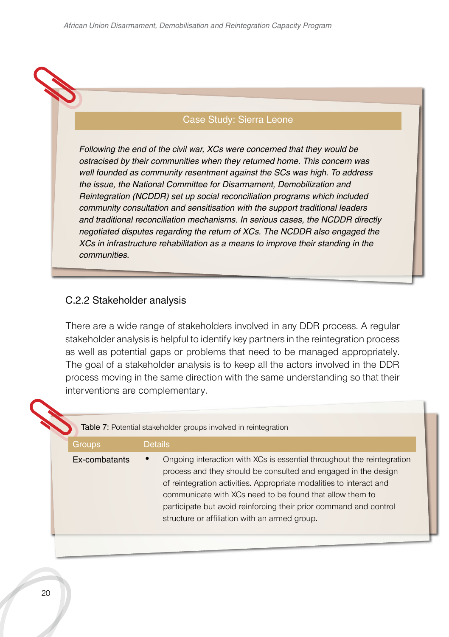#### Case Study: Sierra Leone

*Following the end of the civil war, XCs were concerned that they would be ostracised by their communities when they returned home. This concern was well founded as community resentment against the SCs was high. To address the issue, the National Committee for Disarmament, Demobilization and Reintegration (NCDDR) set up social reconciliation programs which included community consultation and sensitisation with the support traditional leaders and traditional reconciliation mechanisms. In serious cases, the NCDDR directly negotiated disputes regarding the return of XCs. The NCDDR also engaged the XCs in infrastructure rehabilitation as a means to improve their standing in the communities.* 

#### C.2.2 Stakeholder analysis

There are a wide range of stakeholders involved in any DDR process. A regular stakeholder analysis is helpful to identify key partners in the reintegration process as well as potential gaps or problems that need to be managed appropriately. The goal of a stakeholder analysis is to keep all the actors involved in the DDR process moving in the same direction with the same understanding so that their interventions are complementary.

Table 7: Potential stakeholder groups involved in reintegration

| <b>Groups</b> | <b>Details</b>                                                                                                                                                                                                                                                                                                                                                                                    |  |  |
|---------------|---------------------------------------------------------------------------------------------------------------------------------------------------------------------------------------------------------------------------------------------------------------------------------------------------------------------------------------------------------------------------------------------------|--|--|
| Ex-combatants | Ongoing interaction with XCs is essential throughout the reintegration<br>process and they should be consulted and engaged in the design<br>of reintegration activities. Appropriate modalities to interact and<br>communicate with XCs need to be found that allow them to<br>participate but avoid reinforcing their prior command and control<br>structure or affiliation with an armed group. |  |  |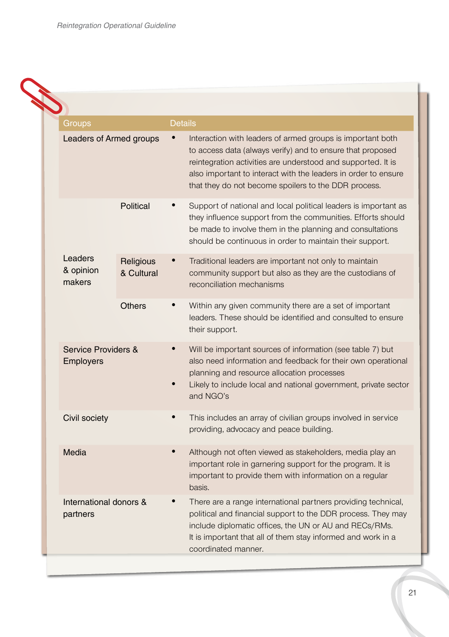| <b>Groups</b>                                             | <b>Details</b>                                                                                                                                                                                                                                                                                                     |
|-----------------------------------------------------------|--------------------------------------------------------------------------------------------------------------------------------------------------------------------------------------------------------------------------------------------------------------------------------------------------------------------|
| Leaders of Armed groups                                   | Interaction with leaders of armed groups is important both<br>to access data (always verify) and to ensure that proposed<br>reintegration activities are understood and supported. It is<br>also important to interact with the leaders in order to ensure<br>that they do not become spoilers to the DDR process. |
| Political                                                 | Support of national and local political leaders is important as<br>they influence support from the communities. Efforts should<br>be made to involve them in the planning and consultations<br>should be continuous in order to maintain their support.                                                            |
| Leaders<br>Religious<br>& opinion<br>& Cultural<br>makers | Traditional leaders are important not only to maintain<br>community support but also as they are the custodians of<br>reconciliation mechanisms                                                                                                                                                                    |
| <b>Others</b>                                             | Within any given community there are a set of important<br>leaders. These should be identified and consulted to ensure<br>their support.                                                                                                                                                                           |
| Service Providers &<br><b>Employers</b>                   | Will be important sources of information (see table 7) but<br>also need information and feedback for their own operational<br>planning and resource allocation processes<br>Likely to include local and national government, private sector<br>and NGO's                                                           |
| Civil society                                             | This includes an array of civilian groups involved in service<br>providing, advocacy and peace building.                                                                                                                                                                                                           |
| Media                                                     | Although not often viewed as stakeholders, media play an<br>important role in garnering support for the program. It is<br>important to provide them with information on a regular<br>basis.                                                                                                                        |
| International donors &<br>partners                        | There are a range international partners providing technical,<br>political and financial support to the DDR process. They may<br>include diplomatic offices, the UN or AU and RECs/RMs.<br>It is important that all of them stay informed and work in a<br>coordinated manner.                                     |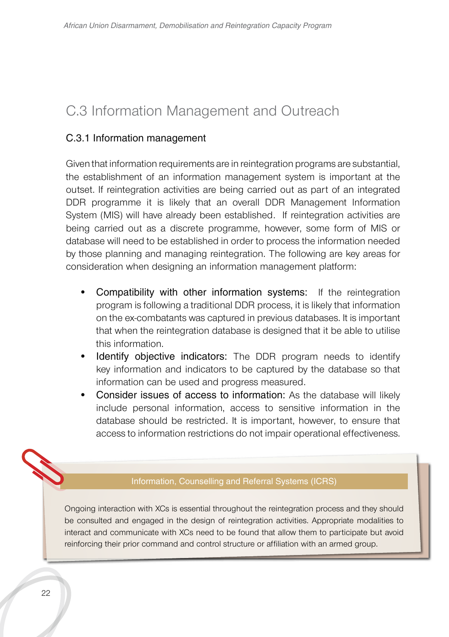### C.3 Information Management and Outreach

#### C.3.1 Information management

Given that information requirements are in reintegration programs are substantial, the establishment of an information management system is important at the outset. If reintegration activities are being carried out as part of an integrated DDR programme it is likely that an overall DDR Management Information System (MIS) will have already been established. If reintegration activities are being carried out as a discrete programme, however, some form of MIS or database will need to be established in order to process the information needed by those planning and managing reintegration. The following are key areas for consideration when designing an information management platform:

- Compatibility with other information systems: If the reintegration program is following a traditional DDR process, it is likely that information on the ex-combatants was captured in previous databases. It is important that when the reintegration database is designed that it be able to utilise this information.
- **Identify objective indicators:** The DDR program needs to identify key information and indicators to be captured by the database so that information can be used and progress measured.
- Consider issues of access to information: As the database will likely include personal information, access to sensitive information in the database should be restricted. It is important, however, to ensure that access to information restrictions do not impair operational effectiveness.

#### Information, Counselling and Referral Systems (ICRS)

Ongoing interaction with XCs is essential throughout the reintegration process and they should be consulted and engaged in the design of reintegration activities. Appropriate modalities to interact and communicate with XCs need to be found that allow them to participate but avoid reinforcing their prior command and control structure or affiliation with an armed group.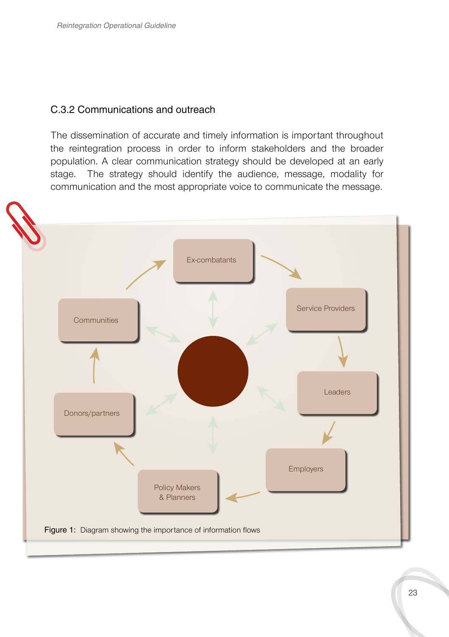#### C.3.2 Communications and outreach

The dissemination of accurate and timely information is important throughout the reintegration process in order to inform stakeholders and the broader population. A clear communication strategy should be developed at an early stage. The strategy should identify the audience, message, modality for communication and the most appropriate voice to communicate the message.

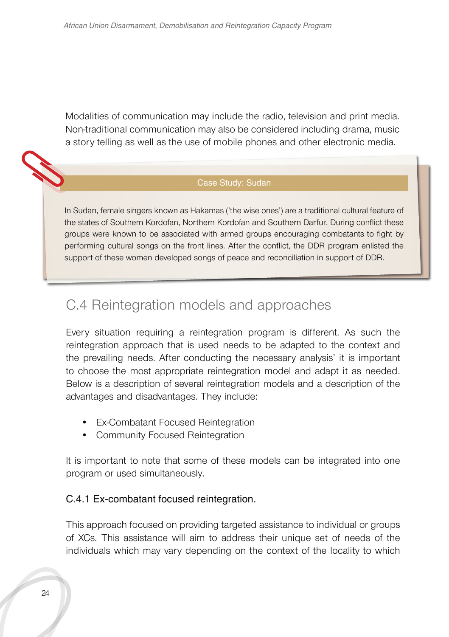Modalities of communication may include the radio, television and print media. Non-traditional communication may also be considered including drama, music a story telling as well as the use of mobile phones and other electronic media.

#### Case Study: Sudan

In Sudan, female singers known as Hakamas ('the wise ones') are a traditional cultural feature of the states of Southern Kordofan, Northern Kordofan and Southern Darfur. During conflict these groups were known to be associated with armed groups encouraging combatants to fight by performing cultural songs on the front lines. After the conflict, the DDR program enlisted the support of these women developed songs of peace and reconciliation in support of DDR.

### C.4 Reintegration models and approaches

Every situation requiring a reintegration program is different. As such the reintegration approach that is used needs to be adapted to the context and the prevailing needs. After conducting the necessary analysis' it is important to choose the most appropriate reintegration model and adapt it as needed. Below is a description of several reintegration models and a description of the advantages and disadvantages. They include:

- Ex-Combatant Focused Reintegration
- Community Focused Reintegration

It is important to note that some of these models can be integrated into one program or used simultaneously.

#### C.4.1 Ex-combatant focused reintegration.

This approach focused on providing targeted assistance to individual or groups of XCs. This assistance will aim to address their unique set of needs of the individuals which may vary depending on the context of the locality to which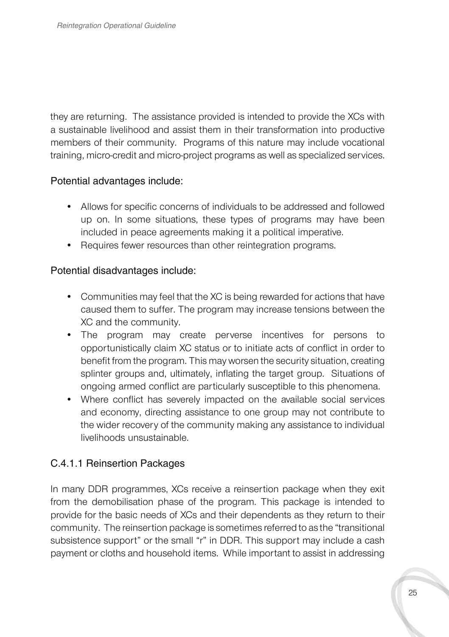they are returning. The assistance provided is intended to provide the XCs with a sustainable livelihood and assist them in their transformation into productive members of their community. Programs of this nature may include vocational training, micro-credit and micro-project programs as well as specialized services.

#### Potential advantages include:

- • Allows for specific concerns of individuals to be addressed and followed up on. In some situations, these types of programs may have been included in peace agreements making it a political imperative.
- Requires fewer resources than other reintegration programs.

#### Potential disadvantages include:

- Communities may feel that the XC is being rewarded for actions that have caused them to suffer. The program may increase tensions between the XC and the community.
- The program may create perverse incentives for persons to opportunistically claim XC status or to initiate acts of conflict in order to benefit from the program. This may worsen the security situation, creating splinter groups and, ultimately, inflating the target group. Situations of ongoing armed conflict are particularly susceptible to this phenomena.
- Where conflict has severely impacted on the available social services and economy, directing assistance to one group may not contribute to the wider recovery of the community making any assistance to individual livelihoods unsustainable.

#### C.4.1.1 Reinsertion Packages

In many DDR programmes, XCs receive a reinsertion package when they exit from the demobilisation phase of the program. This package is intended to provide for the basic needs of XCs and their dependents as they return to their community. The reinsertion package is sometimes referred to as the "transitional subsistence support" or the small "r" in DDR. This support may include a cash payment or cloths and household items. While important to assist in addressing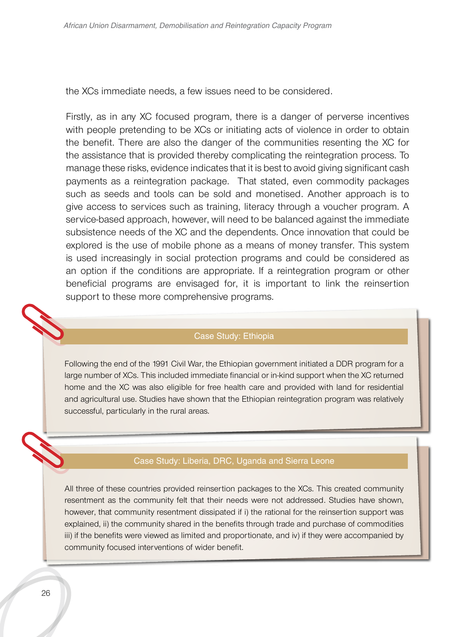the XCs immediate needs, a few issues need to be considered.

Firstly, as in any XC focused program, there is a danger of perverse incentives with people pretending to be XCs or initiating acts of violence in order to obtain the benefit. There are also the danger of the communities resenting the XC for the assistance that is provided thereby complicating the reintegration process. To manage these risks, evidence indicates that it is best to avoid giving significant cash payments as a reintegration package. That stated, even commodity packages such as seeds and tools can be sold and monetised. Another approach is to give access to services such as training, literacy through a voucher program. A service-based approach, however, will need to be balanced against the immediate subsistence needs of the XC and the dependents. Once innovation that could be explored is the use of mobile phone as a means of money transfer. This system is used increasingly in social protection programs and could be considered as an option if the conditions are appropriate. If a reintegration program or other beneficial programs are envisaged for, it is important to link the reinsertion support to these more comprehensive programs.

#### Case Study: Ethiopia

Following the end of the 1991 Civil War, the Ethiopian government initiated a DDR program for a large number of XCs. This included immediate financial or in-kind support when the XC returned home and the XC was also eligible for free health care and provided with land for residential and agricultural use. Studies have shown that the Ethiopian reintegration program was relatively successful, particularly in the rural areas.

#### Case Study: Liberia, DRC, Uganda and Sierra Leone

All three of these countries provided reinsertion packages to the XCs. This created community resentment as the community felt that their needs were not addressed. Studies have shown, however, that community resentment dissipated if i) the rational for the reinsertion support was explained, ii) the community shared in the benefits through trade and purchase of commodities iii) if the benefits were viewed as limited and proportionate, and iv) if they were accompanied by community focused interventions of wider benefit.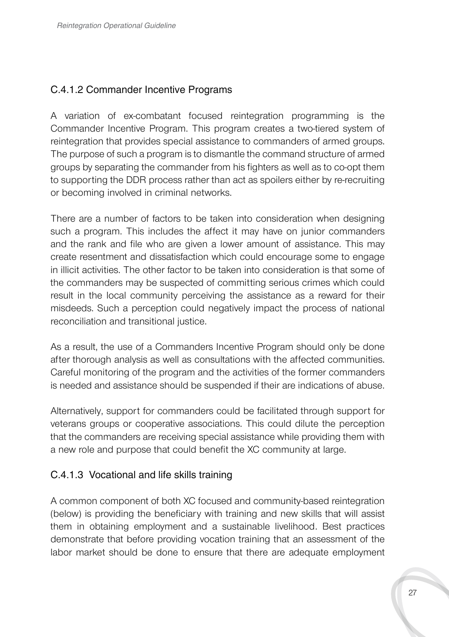### C.4.1.2 Commander Incentive Programs

A variation of ex-combatant focused reintegration programming is the Commander Incentive Program. This program creates a two-tiered system of reintegration that provides special assistance to commanders of armed groups. The purpose of such a program is to dismantle the command structure of armed groups by separating the commander from his fighters as well as to co-opt them to supporting the DDR process rather than act as spoilers either by re-recruiting or becoming involved in criminal networks.

There are a number of factors to be taken into consideration when designing such a program. This includes the affect it may have on junior commanders and the rank and file who are given a lower amount of assistance. This may create resentment and dissatisfaction which could encourage some to engage in illicit activities. The other factor to be taken into consideration is that some of the commanders may be suspected of committing serious crimes which could result in the local community perceiving the assistance as a reward for their misdeeds. Such a perception could negatively impact the process of national reconciliation and transitional justice.

As a result, the use of a Commanders Incentive Program should only be done after thorough analysis as well as consultations with the affected communities. Careful monitoring of the program and the activities of the former commanders is needed and assistance should be suspended if their are indications of abuse.

Alternatively, support for commanders could be facilitated through support for veterans groups or cooperative associations. This could dilute the perception that the commanders are receiving special assistance while providing them with a new role and purpose that could benefit the XC community at large.

### C.4.1.3 Vocational and life skills training

A common component of both XC focused and community-based reintegration (below) is providing the beneficiary with training and new skills that will assist them in obtaining employment and a sustainable livelihood. Best practices demonstrate that before providing vocation training that an assessment of the labor market should be done to ensure that there are adequate employment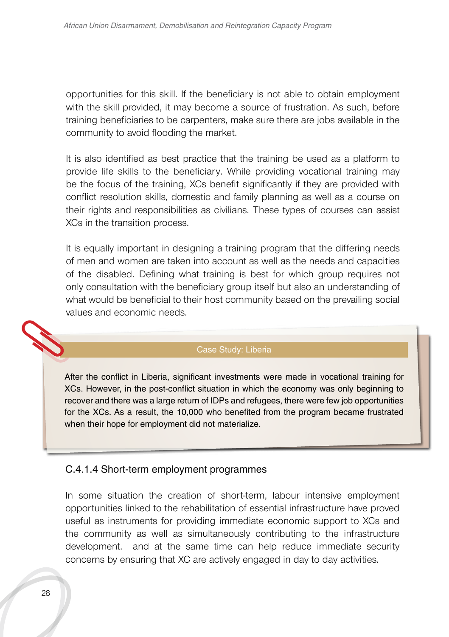opportunities for this skill. If the beneficiary is not able to obtain employment with the skill provided, it may become a source of frustration. As such, before training beneficiaries to be carpenters, make sure there are jobs available in the community to avoid flooding the market.

It is also identified as best practice that the training be used as a platform to provide life skills to the beneficiary. While providing vocational training may be the focus of the training, XCs benefit significantly if they are provided with conflict resolution skills, domestic and family planning as well as a course on their rights and responsibilities as civilians. These types of courses can assist XCs in the transition process.

It is equally important in designing a training program that the differing needs of men and women are taken into account as well as the needs and capacities of the disabled. Defining what training is best for which group requires not only consultation with the beneficiary group itself but also an understanding of what would be beneficial to their host community based on the prevailing social values and economic needs.

#### Case Study: Liberia

After the conflict in Liberia, significant investments were made in vocational training for XCs. However, in the post-conflict situation in which the economy was only beginning to recover and there was a large return of IDPs and refugees, there were few job opportunities for the XCs. As a result, the 10,000 who benefited from the program became frustrated when their hope for employment did not materialize.

#### C.4.1.4 Short-term employment programmes

In some situation the creation of short-term, labour intensive employment opportunities linked to the rehabilitation of essential infrastructure have proved useful as instruments for providing immediate economic support to XCs and the community as well as simultaneously contributing to the infrastructure development. and at the same time can help reduce immediate security concerns by ensuring that XC are actively engaged in day to day activities.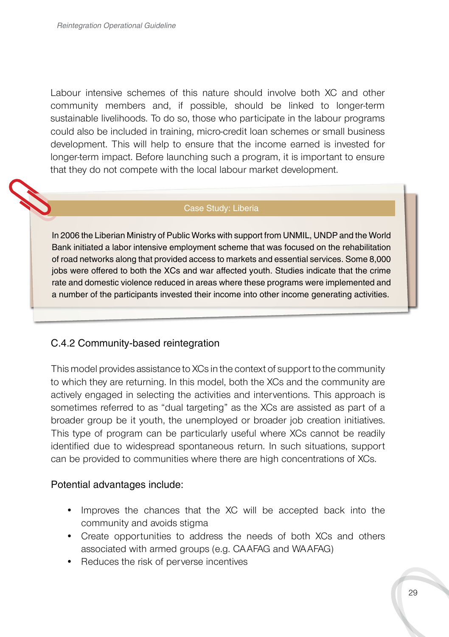Labour intensive schemes of this nature should involve both XC and other community members and, if possible, should be linked to longer-term sustainable livelihoods. To do so, those who participate in the labour programs could also be included in training, micro-credit loan schemes or small business development. This will help to ensure that the income earned is invested for longer-term impact. Before launching such a program, it is important to ensure that they do not compete with the local labour market development.

In 2006 the Liberian Ministry of Public Works with support from UNMIL, UNDP and the World Bank initiated a labor intensive employment scheme that was focused on the rehabilitation of road networks along that provided access to markets and essential services. Some 8,000 jobs were offered to both the XCs and war affected youth. Studies indicate that the crime rate and domestic violence reduced in areas where these programs were implemented and a number of the participants invested their income into other income generating activities.

#### C.4.2 Community-based reintegration

This model provides assistance to XCs in the context of support to the community to which they are returning. In this model, both the XCs and the community are actively engaged in selecting the activities and interventions. This approach is sometimes referred to as "dual targeting" as the XCs are assisted as part of a broader group be it youth, the unemployed or broader job creation initiatives. This type of program can be particularly useful where XCs cannot be readily identified due to widespread spontaneous return. In such situations, support can be provided to communities where there are high concentrations of XCs.

#### Potential advantages include:

- Improves the chances that the XC will be accepted back into the community and avoids stigma
- Create opportunities to address the needs of both XCs and others associated with armed groups (e.g. CAAFAG and WAAFAG)
- Reduces the risk of perverse incentives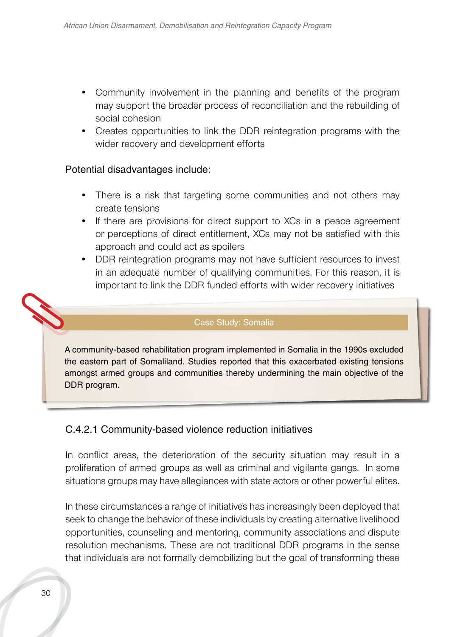- Community involvement in the planning and benefits of the program may support the broader process of reconciliation and the rebuilding of social cohesion
- Creates opportunities to link the DDR reintegration programs with the wider recovery and development efforts

#### Potential disadvantages include:

- There is a risk that targeting some communities and not others may create tensions
- If there are provisions for direct support to XCs in a peace agreement or perceptions of direct entitlement, XCs may not be satisfied with this approach and could act as spoilers
- DDR reintegration programs may not have sufficient resources to invest in an adequate number of qualifying communities. For this reason, it is important to link the DDR funded efforts with wider recovery initiatives

#### Case Study: Somalia

A community-based rehabilitation program implemented in Somalia in the 1990s excluded the eastern part of Somaliland. Studies reported that this exacerbated existing tensions amongst armed groups and communities thereby undermining the main objective of the DDR program.

#### C.4.2.1 Community-based violence reduction initiatives

In conflict areas, the deterioration of the security situation may result in a proliferation of armed groups as well as criminal and vigilante gangs. In some situations groups may have allegiances with state actors or other powerful elites.

In these circumstances a range of initiatives has increasingly been deployed that seek to change the behavior of these individuals by creating alternative livelihood opportunities, counseling and mentoring, community associations and dispute resolution mechanisms. These are not traditional DDR programs in the sense that individuals are not formally demobilizing but the goal of transforming these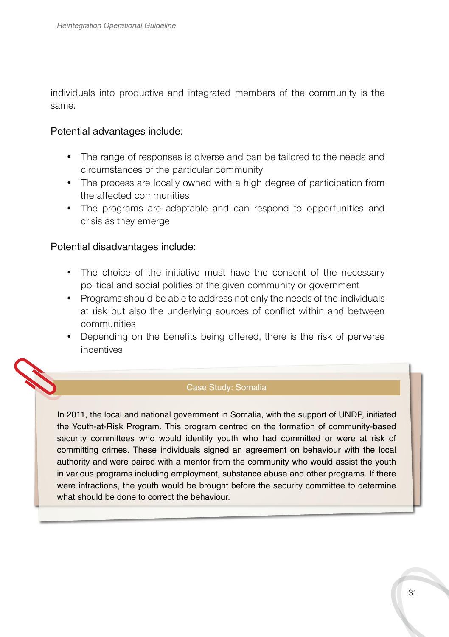individuals into productive and integrated members of the community is the same.

#### Potential advantages include:

- The range of responses is diverse and can be tailored to the needs and circumstances of the particular community
- The process are locally owned with a high degree of participation from the affected communities
- The programs are adaptable and can respond to opportunities and crisis as they emerge

#### Potential disadvantages include:

- The choice of the initiative must have the consent of the necessary political and social polities of the given community or government
- Programs should be able to address not only the needs of the individuals at risk but also the underlying sources of conflict within and between communities
- Depending on the benefits being offered, there is the risk of perverse incentives

#### Case Study: Somalia

In 2011, the local and national government in Somalia, with the support of UNDP, initiated the Youth-at-Risk Program. This program centred on the formation of community-based security committees who would identify youth who had committed or were at risk of committing crimes. These individuals signed an agreement on behaviour with the local authority and were paired with a mentor from the community who would assist the youth in various programs including employment, substance abuse and other programs. If there were infractions, the youth would be brought before the security committee to determine what should be done to correct the behaviour.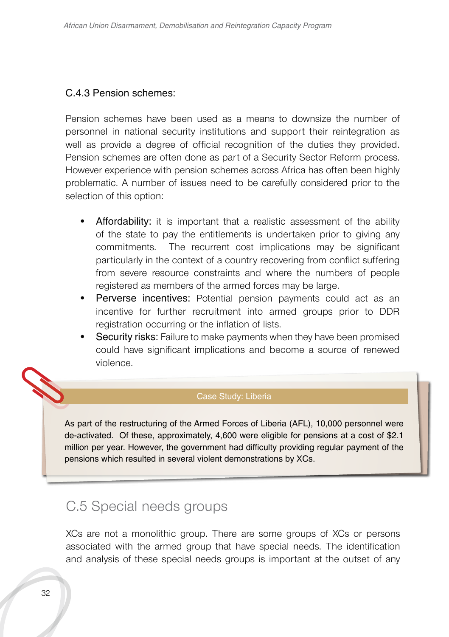#### C.4.3 Pension schemes:

Pension schemes have been used as a means to downsize the number of personnel in national security institutions and support their reintegration as well as provide a degree of official recognition of the duties they provided. Pension schemes are often done as part of a Security Sector Reform process. However experience with pension schemes across Africa has often been highly problematic. A number of issues need to be carefully considered prior to the selection of this option:

- Affordability: it is important that a realistic assessment of the ability of the state to pay the entitlements is undertaken prior to giving any commitments. The recurrent cost implications may be significant particularly in the context of a country recovering from conflict suffering from severe resource constraints and where the numbers of people registered as members of the armed forces may be large.
- **Perverse incentives:** Potential pension payments could act as an incentive for further recruitment into armed groups prior to DDR registration occurring or the inflation of lists.
- Security risks: Failure to make payments when they have been promised could have significant implications and become a source of renewed violence.

#### Case Study: Liberia

As part of the restructuring of the Armed Forces of Liberia (AFL), 10,000 personnel were de-activated. Of these, approximately, 4,600 were eligible for pensions at a cost of \$2.1 million per year. However, the government had difficulty providing regular payment of the pensions which resulted in several violent demonstrations by XCs.

### C.5 Special needs groups

XCs are not a monolithic group. There are some groups of XCs or persons associated with the armed group that have special needs. The identification and analysis of these special needs groups is important at the outset of any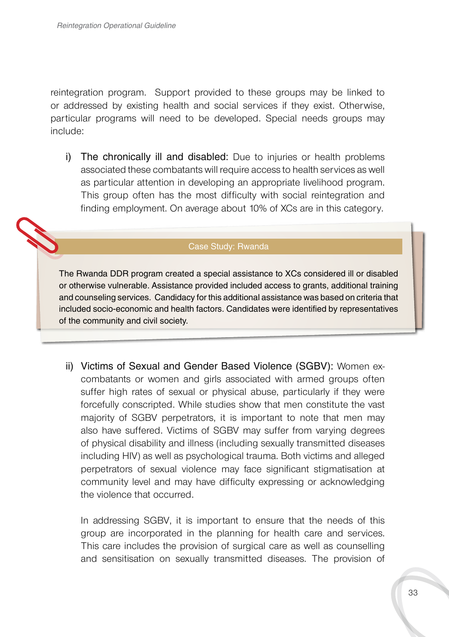reintegration program. Support provided to these groups may be linked to or addressed by existing health and social services if they exist. Otherwise, particular programs will need to be developed. Special needs groups may include:

i) The chronically ill and disabled: Due to injuries or health problems associated these combatants will require access to health services as well as particular attention in developing an appropriate livelihood program. This group often has the most difficulty with social reintegration and finding employment. On average about 10% of XCs are in this category.

#### Case Study: Rwanda

The Rwanda DDR program created a special assistance to XCs considered ill or disabled or otherwise vulnerable. Assistance provided included access to grants, additional training and counseling services. Candidacy for this additional assistance was based on criteria that included socio-economic and health factors. Candidates were identified by representatives of the community and civil society.

ii) Victims of Sexual and Gender Based Violence (SGBV): Women excombatants or women and girls associated with armed groups often suffer high rates of sexual or physical abuse, particularly if they were forcefully conscripted. While studies show that men constitute the vast majority of SGBV perpetrators, it is important to note that men may also have suffered. Victims of SGBV may suffer from varying degrees of physical disability and illness (including sexually transmitted diseases including HIV) as well as psychological trauma. Both victims and alleged perpetrators of sexual violence may face significant stigmatisation at community level and may have difficulty expressing or acknowledging the violence that occurred.

In addressing SGBV, it is important to ensure that the needs of this group are incorporated in the planning for health care and services. This care includes the provision of surgical care as well as counselling and sensitisation on sexually transmitted diseases. The provision of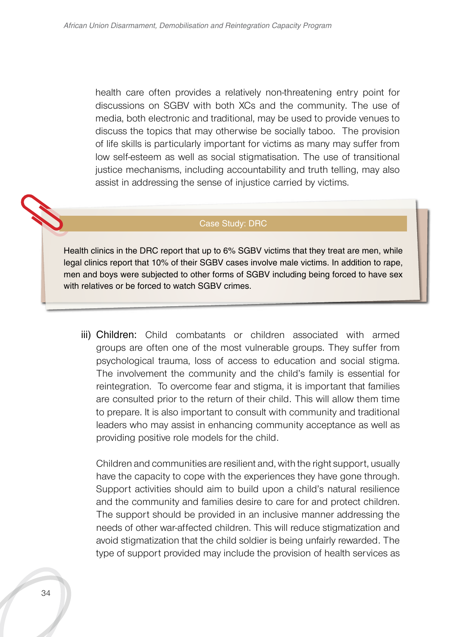health care often provides a relatively non-threatening entry point for discussions on SGBV with both XCs and the community. The use of media, both electronic and traditional, may be used to provide venues to discuss the topics that may otherwise be socially taboo. The provision of life skills is particularly important for victims as many may suffer from low self-esteem as well as social stigmatisation. The use of transitional justice mechanisms, including accountability and truth telling, may also assist in addressing the sense of injustice carried by victims.

#### Case Study: DRC

Health clinics in the DRC report that up to 6% SGBV victims that they treat are men, while legal clinics report that 10% of their SGBV cases involve male victims. In addition to rape, men and boys were subjected to other forms of SGBV including being forced to have sex with relatives or he forced to watch SGBV crimes.

iii) Children: Child combatants or children associated with armed groups are often one of the most vulnerable groups. They suffer from psychological trauma, loss of access to education and social stigma. The involvement the community and the child's family is essential for reintegration. To overcome fear and stigma, it is important that families are consulted prior to the return of their child. This will allow them time to prepare. It is also important to consult with community and traditional leaders who may assist in enhancing community acceptance as well as providing positive role models for the child.

Children and communities are resilient and, with the right support, usually have the capacity to cope with the experiences they have gone through. Support activities should aim to build upon a child's natural resilience and the community and families desire to care for and protect children. The support should be provided in an inclusive manner addressing the needs of other war-affected children. This will reduce stigmatization and avoid stigmatization that the child soldier is being unfairly rewarded. The type of support provided may include the provision of health services as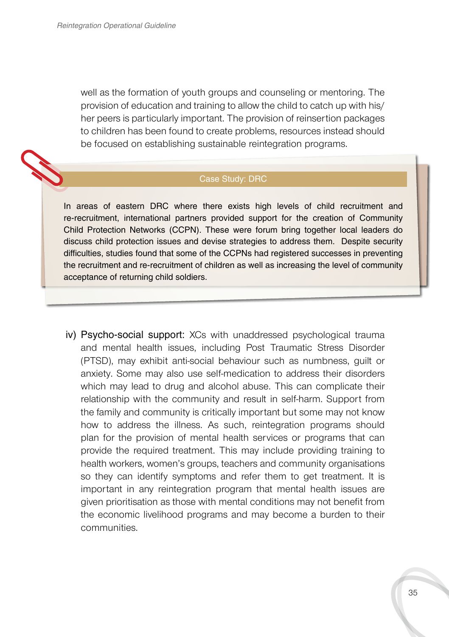well as the formation of youth groups and counseling or mentoring. The provision of education and training to allow the child to catch up with his/ her peers is particularly important. The provision of reinsertion packages to children has been found to create problems, resources instead should be focused on establishing sustainable reintegration programs.

#### Case Study: DRC

In areas of eastern DRC where there exists high levels of child recruitment and re-recruitment, international partners provided support for the creation of Community Child Protection Networks (CCPN). These were forum bring together local leaders do discuss child protection issues and devise strategies to address them. Despite security difficulties, studies found that some of the CCPNs had registered successes in preventing the recruitment and re-recruitment of children as well as increasing the level of community acceptance of returning child soldiers.

iv) Psycho-social support: XCs with unaddressed psychological trauma and mental health issues, including Post Traumatic Stress Disorder (PTSD), may exhibit anti-social behaviour such as numbness, guilt or anxiety. Some may also use self-medication to address their disorders which may lead to drug and alcohol abuse. This can complicate their relationship with the community and result in self-harm. Support from the family and community is critically important but some may not know how to address the illness. As such, reintegration programs should plan for the provision of mental health services or programs that can provide the required treatment. This may include providing training to health workers, women's groups, teachers and community organisations so they can identify symptoms and refer them to get treatment. It is important in any reintegration program that mental health issues are given prioritisation as those with mental conditions may not benefit from the economic livelihood programs and may become a burden to their communities.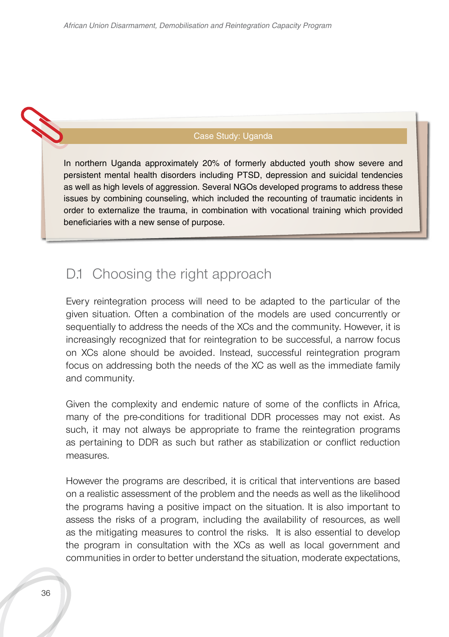#### Case Study: Uganda

In northern Uganda approximately 20% of formerly abducted youth show severe and persistent mental health disorders including PTSD, depression and suicidal tendencies as well as high levels of aggression. Several NGOs developed programs to address these issues by combining counseling, which included the recounting of traumatic incidents in order to externalize the trauma, in combination with vocational training which provided beneficiaries with a new sense of purpose.

### D.1 Choosing the right approach

Every reintegration process will need to be adapted to the particular of the given situation. Often a combination of the models are used concurrently or sequentially to address the needs of the XCs and the community. However, it is increasingly recognized that for reintegration to be successful, a narrow focus on XCs alone should be avoided. Instead, successful reintegration program focus on addressing both the needs of the XC as well as the immediate family and community.

Given the complexity and endemic nature of some of the conflicts in Africa, many of the pre-conditions for traditional DDR processes may not exist. As such, it may not always be appropriate to frame the reintegration programs as pertaining to DDR as such but rather as stabilization or conflict reduction measures.

However the programs are described, it is critical that interventions are based on a realistic assessment of the problem and the needs as well as the likelihood the programs having a positive impact on the situation. It is also important to assess the risks of a program, including the availability of resources, as well as the mitigating measures to control the risks. It is also essential to develop the program in consultation with the XCs as well as local government and communities in order to better understand the situation, moderate expectations,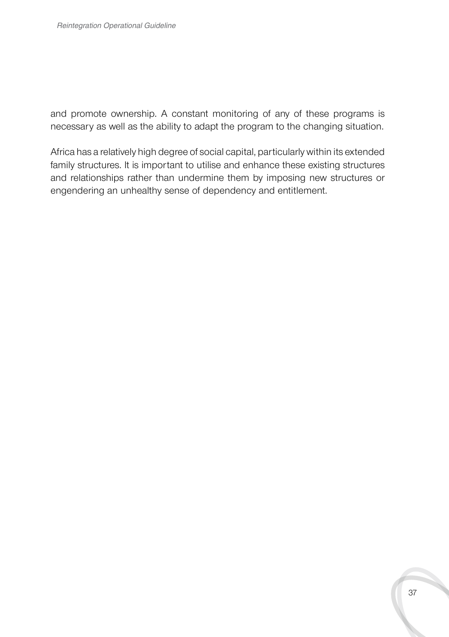and promote ownership. A constant monitoring of any of these programs is necessary as well as the ability to adapt the program to the changing situation.

Africa has a relatively high degree of social capital, particularly within its extended family structures. It is important to utilise and enhance these existing structures and relationships rather than undermine them by imposing new structures or engendering an unhealthy sense of dependency and entitlement.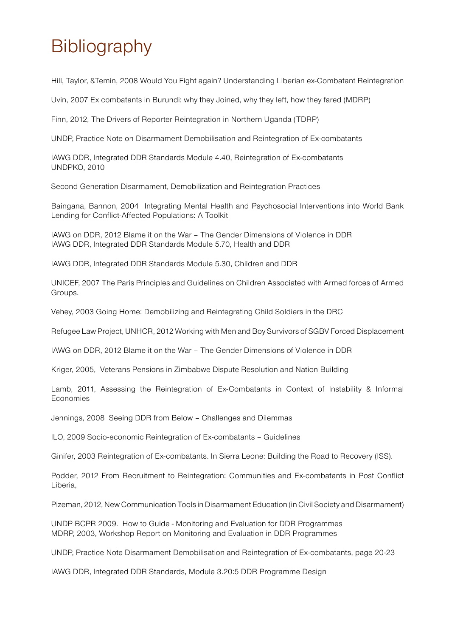## **Bibliography**

Hill, Taylor, &Temin, 2008 Would You Fight again? Understanding Liberian ex-Combatant Reintegration

Uvin, 2007 Ex combatants in Burundi: why they Joined, why they left, how they fared (MDRP)

Finn, 2012, The Drivers of Reporter Reintegration in Northern Uganda (TDRP)

UNDP, Practice Note on Disarmament Demobilisation and Reintegration of Ex-combatants

IAWG DDR, Integrated DDR Standards Module 4.40, Reintegration of Ex-combatants UNDPKO, 2010

Second Generation Disarmament, Demobilization and Reintegration Practices

Baingana, Bannon, 2004 Integrating Mental Health and Psychosocial Interventions into World Bank Lending for Conflict-Affected Populations: A Toolkit

IAWG on DDR, 2012 Blame it on the War – The Gender Dimensions of Violence in DDR IAWG DDR, Integrated DDR Standards Module 5.70, Health and DDR

IAWG DDR, Integrated DDR Standards Module 5.30, Children and DDR

UNICEF, 2007 The Paris Principles and Guidelines on Children Associated with Armed forces of Armed Groups.

Vehey, 2003 Going Home: Demobilizing and Reintegrating Child Soldiers in the DRC

Refugee Law Project, UNHCR, 2012 Working with Men and Boy Survivors of SGBV Forced Displacement

IAWG on DDR, 2012 Blame it on the War – The Gender Dimensions of Violence in DDR

Kriger, 2005, Veterans Pensions in Zimbabwe Dispute Resolution and Nation Building

Lamb, 2011, Assessing the Reintegration of Ex-Combatants in Context of Instability & Informal Economies

Jennings, 2008 Seeing DDR from Below – Challenges and Dilemmas

ILO, 2009 Socio-economic Reintegration of Ex-combatants – Guidelines

Ginifer, 2003 Reintegration of Ex-combatants. In Sierra Leone: Building the Road to Recovery (ISS).

Podder, 2012 From Recruitment to Reintegration: Communities and Ex-combatants in Post Conflict Liberia,

Pizeman, 2012, New Communication Tools in Disarmament Education (in Civil Society and Disarmament)

UNDP BCPR 2009. How to Guide - Monitoring and Evaluation for DDR Programmes MDRP, 2003, Workshop Report on Monitoring and Evaluation in DDR Programmes

UNDP, Practice Note Disarmament Demobilisation and Reintegration of Ex-combatants, page 20-23

IAWG DDR, Integrated DDR Standards, Module 3.20:5 DDR Programme Design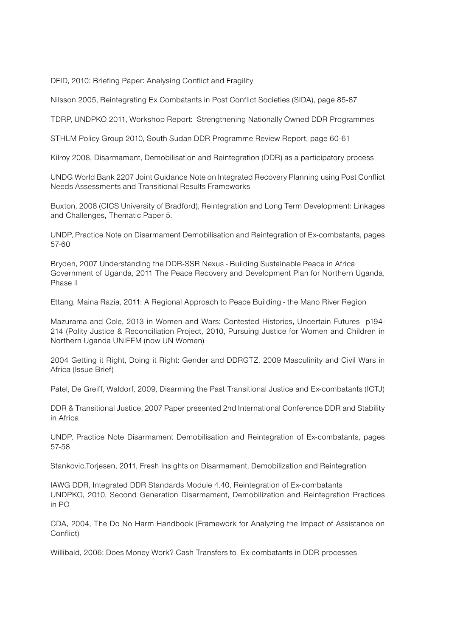DFID, 2010: Briefing Paper: Analysing Conflict and Fragility

Nilsson 2005, Reintegrating Ex Combatants in Post Conflict Societies (SIDA), page 85-87

TDRP, UNDPKO 2011, Workshop Report: Strengthening Nationally Owned DDR Programmes

STHLM Policy Group 2010, South Sudan DDR Programme Review Report, page 60-61

Kilroy 2008, Disarmament, Demobilisation and Reintegration (DDR) as a participatory process

UNDG World Bank 2207 Joint Guidance Note on Integrated Recovery Planning using Post Conflict Needs Assessments and Transitional Results Frameworks

Buxton, 2008 (CICS University of Bradford), Reintegration and Long Term Development: Linkages and Challenges, Thematic Paper 5.

UNDP, Practice Note on Disarmament Demobilisation and Reintegration of Ex-combatants, pages 57-60

Bryden, 2007 Understanding the DDR-SSR Nexus - Building Sustainable Peace in Africa Government of Uganda, 2011 The Peace Recovery and Development Plan for Northern Uganda, Phase II

Ettang, Maina Razia, 2011: A Regional Approach to Peace Building - the Mano River Region

Mazurama and Cole, 2013 in Women and Wars: Contested Histories, Uncertain Futures p194- 214 (Polity Justice & Reconciliation Project, 2010, Pursuing Justice for Women and Children in Northern Uganda UNIFEM (now UN Women)

2004 Getting it Right, Doing it Right: Gender and DDRGTZ, 2009 Masculinity and Civil Wars in Africa (Issue Brief)

Patel, De Greiff, Waldorf, 2009, Disarming the Past Transitional Justice and Ex-combatants (ICTJ)

DDR & Transitional Justice, 2007 Paper presented 2nd International Conference DDR and Stability in Africa

UNDP, Practice Note Disarmament Demobilisation and Reintegration of Ex-combatants, pages 57-58

Stankovic,Torjesen, 2011, Fresh Insights on Disarmament, Demobilization and Reintegration

IAWG DDR, Integrated DDR Standards Module 4.40, Reintegration of Ex-combatants UNDPKO, 2010, Second Generation Disarmament, Demobilization and Reintegration Practices in PO

CDA, 2004, The Do No Harm Handbook (Framework for Analyzing the Impact of Assistance on Conflict)

Willibald, 2006: Does Money Work? Cash Transfers to Ex-combatants in DDR processes